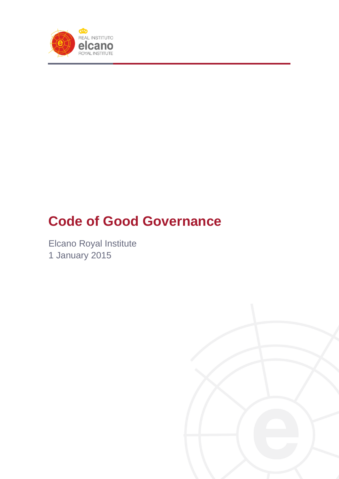

# **Code of Good Governance**

Elcano Royal Institute 1 January 2015

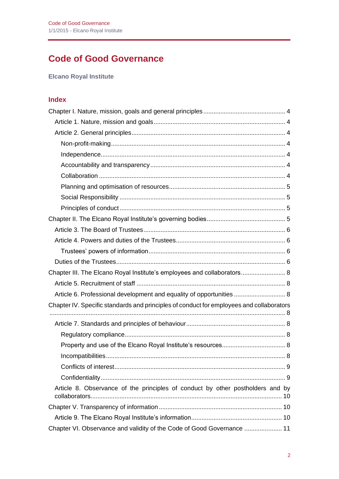# **Code of Good Governance**

**Elcano Royal Institute**

# **Index**

| Chapter III. The Elcano Royal Institute's employees and collaborators 8                  |  |
|------------------------------------------------------------------------------------------|--|
|                                                                                          |  |
| Article 6. Professional development and equality of opportunities  8                     |  |
| Chapter IV. Specific standards and principles of conduct for employees and collaborators |  |
|                                                                                          |  |
|                                                                                          |  |
|                                                                                          |  |
|                                                                                          |  |
|                                                                                          |  |
|                                                                                          |  |
| Article 8. Observance of the principles of conduct by other postholders and by           |  |
|                                                                                          |  |
|                                                                                          |  |
| Chapter VI. Observance and validity of the Code of Good Governance  11                   |  |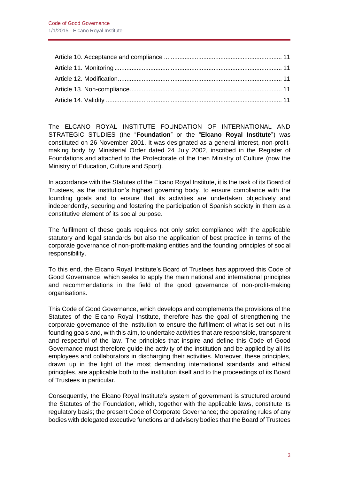The ELCANO ROYAL INSTITUTE FOUNDATION OF INTERNATIONAL AND STRATEGIC STUDIES (the "**Foundation**" or the "**Elcano Royal Institute**") was constituted on 26 November 2001. It was designated as a general-interest, non-profitmaking body by Ministerial Order dated 24 July 2002, inscribed in the Register of Foundations and attached to the Protectorate of the then Ministry of Culture (now the Ministry of Education, Culture and Sport).

In accordance with the Statutes of the Elcano Royal Institute, it is the task of its Board of Trustees, as the institution's highest governing body, to ensure compliance with the founding goals and to ensure that its activities are undertaken objectively and independently, securing and fostering the participation of Spanish society in them as a constitutive element of its social purpose.

The fulfilment of these goals requires not only strict compliance with the applicable statutory and legal standards but also the application of best practice in terms of the corporate governance of non-profit-making entities and the founding principles of social responsibility.

To this end, the Elcano Royal Institute's Board of Trustees has approved this Code of Good Governance, which seeks to apply the main national and international principles and recommendations in the field of the good governance of non-profit-making organisations.

This Code of Good Governance, which develops and complements the provisions of the Statutes of the Elcano Royal Institute, therefore has the goal of strengthening the corporate governance of the institution to ensure the fulfilment of what is set out in its founding goals and, with this aim, to undertake activities that are responsible, transparent and respectful of the law. The principles that inspire and define this Code of Good Governance must therefore guide the activity of the institution and be applied by all its employees and collaborators in discharging their activities. Moreover, these principles, drawn up in the light of the most demanding international standards and ethical principles, are applicable both to the institution itself and to the proceedings of its Board of Trustees in particular.

Consequently, the Elcano Royal Institute's system of government is structured around the Statutes of the Foundation, which, together with the applicable laws, constitute its regulatory basis; the present Code of Corporate Governance; the operating rules of any bodies with delegated executive functions and advisory bodies that the Board of Trustees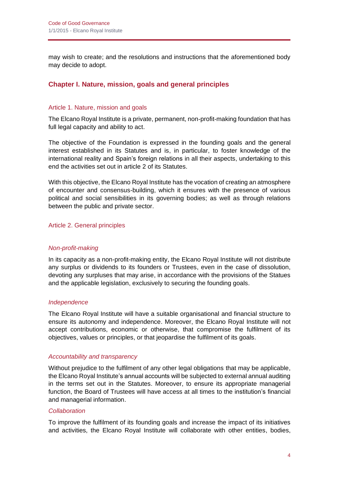may wish to create; and the resolutions and instructions that the aforementioned body may decide to adopt.

# <span id="page-3-0"></span>**Chapter I. Nature, mission, goals and general principles**

#### <span id="page-3-1"></span>Article 1. Nature, mission and goals

The Elcano Royal Institute is a private, permanent, non-profit-making foundation that has full legal capacity and ability to act.

The objective of the Foundation is expressed in the founding goals and the general interest established in its Statutes and is, in particular, to foster knowledge of the international reality and Spain's foreign relations in all their aspects, undertaking to this end the activities set out in article 2 of its Statutes.

With this objective, the Elcano Royal Institute has the vocation of creating an atmosphere of encounter and consensus-building, which it ensures with the presence of various political and social sensibilities in its governing bodies; as well as through relations between the public and private sector.

#### <span id="page-3-2"></span>Article 2. General principles

#### <span id="page-3-3"></span>*Non-profit-making*

In its capacity as a non-profit-making entity, the Elcano Royal Institute will not distribute any surplus or dividends to its founders or Trustees, even in the case of dissolution, devoting any surpluses that may arise, in accordance with the provisions of the Statues and the applicable legislation, exclusively to securing the founding goals.

#### <span id="page-3-4"></span>*Independence*

The Elcano Royal Institute will have a suitable organisational and financial structure to ensure its autonomy and independence. Moreover, the Elcano Royal Institute will not accept contributions, economic or otherwise, that compromise the fulfilment of its objectives, values or principles, or that jeopardise the fulfilment of its goals.

#### <span id="page-3-5"></span>*Accountability and transparency*

Without prejudice to the fulfilment of any other legal obligations that may be applicable, the Elcano Royal Institute's annual accounts will be subjected to external annual auditing in the terms set out in the Statutes. Moreover, to ensure its appropriate managerial function, the Board of Trustees will have access at all times to the institution's financial and managerial information.

#### <span id="page-3-6"></span>*Collaboration*

To improve the fulfilment of its founding goals and increase the impact of its initiatives and activities, the Elcano Royal Institute will collaborate with other entities, bodies,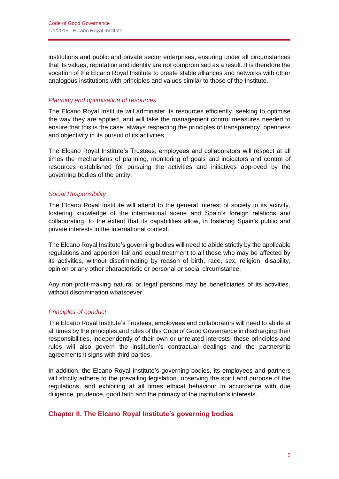institutions and public and private sector enterprises, ensuring under all circumstances that its values, reputation and identity are not compromised as a result. It is therefore the vocation of the Elcano Royal Institute to create stable alliances and networks with other analogous institutions with principles and values similar to those of the Institute.

#### <span id="page-4-0"></span>*Planning and optimisation of resources*

The Elcano Royal Institute will administer its resources efficiently, seeking to optimise the way they are applied, and will take the management control measures needed to ensure that this is the case, always respecting the principles of transparency, openness and objectivity in its pursuit of its activities.

The Elcano Royal Institute's Trustees, employees and collaborators will respect at all times the mechanisms of planning, monitoring of goals and indicators and control of resources established for pursuing the activities and initiatives approved by the governing bodies of the entity.

#### <span id="page-4-1"></span>*Social Responsibility*

The Elcano Royal Institute will attend to the general interest of society in its activity, fostering knowledge of the international scene and Spain's foreign relations and collaborating, to the extent that its capabilities allow, in fostering Spain's public and private interests in the international context.

The Elcano Royal Institute's governing bodies will need to abide strictly by the applicable regulations and apportion fair and equal treatment to all those who may be affected by its activities, without discriminating by reason of birth, race, sex, religion, disability, opinion or any other characteristic or personal or social circumstance.

Any non-profit-making natural or legal persons may be beneficiaries of its activities, without discrimination whatsoever.

#### <span id="page-4-2"></span>*Principles of conduct*

The Elcano Royal Institute's Trustees, employees and collaborators will need to abide at all times by the principles and rules of this Code of Good Governance in discharging their responsibilities, independently of their own or unrelated interests; these principles and rules will also govern the institution's contractual dealings and the partnership agreements it signs with third parties.

In addition, the Elcano Royal Institute's governing bodies, its employees and partners will strictly adhere to the prevailing legislation, observing the spirit and purpose of the regulations, and exhibiting at all times ethical behaviour in accordance with due diligence, prudence, good faith and the primacy of the institution's interests.

# <span id="page-4-3"></span>**Chapter II. The Elcano Royal Institute's governing bodies**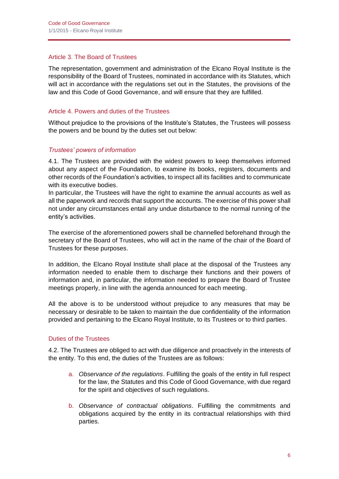#### <span id="page-5-0"></span>Article 3. The Board of Trustees

The representation, government and administration of the Elcano Royal Institute is the responsibility of the Board of Trustees, nominated in accordance with its Statutes, which will act in accordance with the regulations set out in the Statutes, the provisions of the law and this Code of Good Governance, and will ensure that they are fulfilled.

#### <span id="page-5-1"></span>Article 4. Powers and duties of the Trustees

Without prejudice to the provisions of the Institute's Statutes, the Trustees will possess the powers and be bound by the duties set out below:

# <span id="page-5-2"></span>*Trustees' powers of information*

4.1. The Trustees are provided with the widest powers to keep themselves informed about any aspect of the Foundation, to examine its books, registers, documents and other records of the Foundation's activities, to inspect all its facilities and to communicate with its executive bodies.

In particular, the Trustees will have the right to examine the annual accounts as well as all the paperwork and records that support the accounts. The exercise of this power shall not under any circumstances entail any undue disturbance to the normal running of the entity's activities.

The exercise of the aforementioned powers shall be channelled beforehand through the secretary of the Board of Trustees, who will act in the name of the chair of the Board of Trustees for these purposes.

In addition, the Elcano Royal Institute shall place at the disposal of the Trustees any information needed to enable them to discharge their functions and their powers of information and, in particular, the information needed to prepare the Board of Trustee meetings properly, in line with the agenda announced for each meeting.

All the above is to be understood without prejudice to any measures that may be necessary or desirable to be taken to maintain the due confidentiality of the information provided and pertaining to the Elcano Royal Institute, to its Trustees or to third parties.

#### <span id="page-5-3"></span>Duties of the Trustees

4.2. The Trustees are obliged to act with due diligence and proactively in the interests of the entity. To this end, the duties of the Trustees are as follows:

- a. *Observance of the regulations*. Fulfilling the goals of the entity in full respect for the law, the Statutes and this Code of Good Governance, with due regard for the spirit and objectives of such regulations.
- b. *Observance of contractual obligations*. Fulfilling the commitments and obligations acquired by the entity in its contractual relationships with third parties.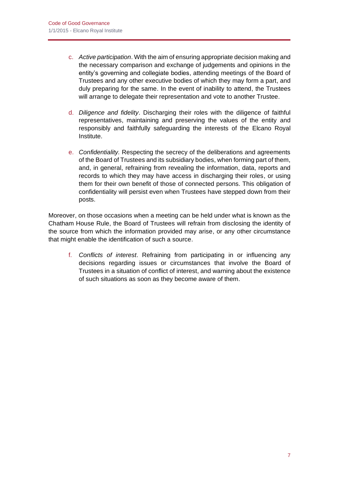- c. *Active participation*. With the aim of ensuring appropriate decision making and the necessary comparison and exchange of judgements and opinions in the entity's governing and collegiate bodies, attending meetings of the Board of Trustees and any other executive bodies of which they may form a part, and duly preparing for the same. In the event of inability to attend, the Trustees will arrange to delegate their representation and vote to another Trustee.
- d. *Diligence and fidelity*. Discharging their roles with the diligence of faithful representatives, maintaining and preserving the values of the entity and responsibly and faithfully safeguarding the interests of the Elcano Royal Institute.
- e. *Confidentiality.* Respecting the secrecy of the deliberations and agreements of the Board of Trustees and its subsidiary bodies, when forming part of them, and, in general, refraining from revealing the information, data, reports and records to which they may have access in discharging their roles, or using them for their own benefit of those of connected persons. This obligation of confidentiality will persist even when Trustees have stepped down from their posts.

Moreover, on those occasions when a meeting can be held under what is known as the Chatham House Rule, the Board of Trustees will refrain from disclosing the identity of the source from which the information provided may arise, or any other circumstance that might enable the identification of such a source.

f. *Conflicts of interest*. Refraining from participating in or influencing any decisions regarding issues or circumstances that involve the Board of Trustees in a situation of conflict of interest, and warning about the existence of such situations as soon as they become aware of them.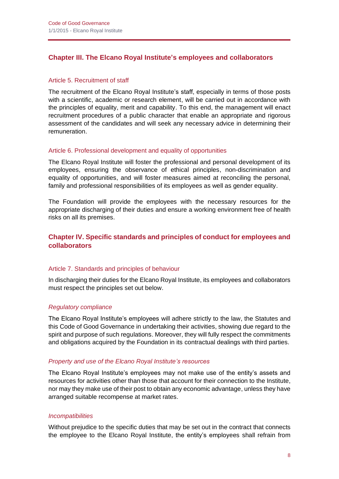# <span id="page-7-0"></span>**Chapter III. The Elcano Royal Institute's employees and collaborators**

#### <span id="page-7-1"></span>Article 5. Recruitment of staff

The recruitment of the Elcano Royal Institute's staff, especially in terms of those posts with a scientific, academic or research element, will be carried out in accordance with the principles of equality, merit and capability. To this end, the management will enact recruitment procedures of a public character that enable an appropriate and rigorous assessment of the candidates and will seek any necessary advice in determining their remuneration.

#### <span id="page-7-2"></span>Article 6. Professional development and equality of opportunities

The Elcano Royal Institute will foster the professional and personal development of its employees, ensuring the observance of ethical principles, non-discrimination and equality of opportunities, and will foster measures aimed at reconciling the personal, family and professional responsibilities of its employees as well as gender equality.

The Foundation will provide the employees with the necessary resources for the appropriate discharging of their duties and ensure a working environment free of health risks on all its premises.

# <span id="page-7-3"></span>**Chapter IV. Specific standards and principles of conduct for employees and collaborators**

#### <span id="page-7-4"></span>Article 7. Standards and principles of behaviour

In discharging their duties for the Elcano Royal Institute, its employees and collaborators must respect the principles set out below.

#### <span id="page-7-5"></span>*Regulatory compliance*

The Elcano Royal Institute's employees will adhere strictly to the law, the Statutes and this Code of Good Governance in undertaking their activities, showing due regard to the spirit and purpose of such regulations. Moreover, they will fully respect the commitments and obligations acquired by the Foundation in its contractual dealings with third parties.

#### <span id="page-7-6"></span>*Property and use of the Elcano Royal Institute's resources*

The Elcano Royal Institute's employees may not make use of the entity's assets and resources for activities other than those that account for their connection to the Institute, nor may they make use of their post to obtain any economic advantage, unless they have arranged suitable recompense at market rates.

#### <span id="page-7-7"></span>*Incompatibilities*

Without prejudice to the specific duties that may be set out in the contract that connects the employee to the Elcano Royal Institute, the entity's employees shall refrain from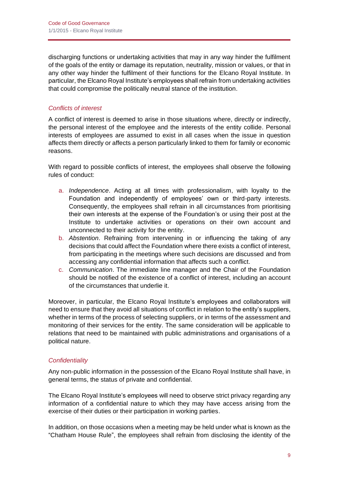discharging functions or undertaking activities that may in any way hinder the fulfilment of the goals of the entity or damage its reputation, neutrality, mission or values, or that in any other way hinder the fulfilment of their functions for the Elcano Royal Institute. In particular, the Elcano Royal Institute's employees shall refrain from undertaking activities that could compromise the politically neutral stance of the institution.

# <span id="page-8-0"></span>*Conflicts of interest*

A conflict of interest is deemed to arise in those situations where, directly or indirectly, the personal interest of the employee and the interests of the entity collide. Personal interests of employees are assumed to exist in all cases when the issue in question affects them directly or affects a person particularly linked to them for family or economic reasons.

With regard to possible conflicts of interest, the employees shall observe the following rules of conduct:

- a. *Independence*. Acting at all times with professionalism, with loyalty to the Foundation and independently of employees' own or third-party interests. Consequently, the employees shall refrain in all circumstances from prioritising their own interests at the expense of the Foundation's or using their post at the Institute to undertake activities or operations on their own account and unconnected to their activity for the entity.
- b. *Abstention*. Refraining from intervening in or influencing the taking of any decisions that could affect the Foundation where there exists a conflict of interest, from participating in the meetings where such decisions are discussed and from accessing any confidential information that affects such a conflict.
- c. *Communication*. The immediate line manager and the Chair of the Foundation should be notified of the existence of a conflict of interest, including an account of the circumstances that underlie it.

Moreover, in particular, the Elcano Royal Institute's employees and collaborators will need to ensure that they avoid all situations of conflict in relation to the entity's suppliers, whether in terms of the process of selecting suppliers, or in terms of the assessment and monitoring of their services for the entity. The same consideration will be applicable to relations that need to be maintained with public administrations and organisations of a political nature.

# <span id="page-8-1"></span>*Confidentiality*

Any non-public information in the possession of the Elcano Royal Institute shall have, in general terms, the status of private and confidential.

The Elcano Royal Institute's employees will need to observe strict privacy regarding any information of a confidential nature to which they may have access arising from the exercise of their duties or their participation in working parties.

In addition, on those occasions when a meeting may be held under what is known as the "Chatham House Rule", the employees shall refrain from disclosing the identity of the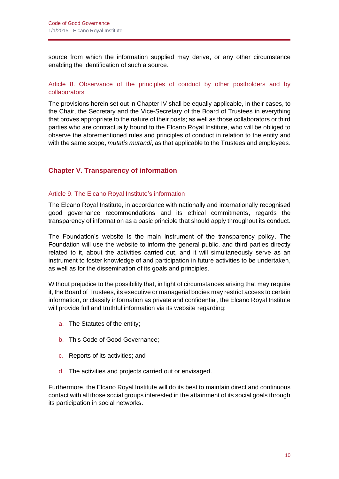source from which the information supplied may derive, or any other circumstance enabling the identification of such a source.

#### <span id="page-9-0"></span>Article 8. Observance of the principles of conduct by other postholders and by collaborators

The provisions herein set out in Chapter IV shall be equally applicable, in their cases, to the Chair, the Secretary and the Vice-Secretary of the Board of Trustees in everything that proves appropriate to the nature of their posts; as well as those collaborators or third parties who are contractually bound to the Elcano Royal Institute, who will be obliged to observe the aforementioned rules and principles of conduct in relation to the entity and with the same scope, *mutatis mutandi*, as that applicable to the Trustees and employees.

# <span id="page-9-1"></span>**Chapter V. Transparency of information**

#### <span id="page-9-2"></span>Article 9. The Elcano Royal Institute's information

The Elcano Royal Institute, in accordance with nationally and internationally recognised good governance recommendations and its ethical commitments, regards the transparency of information as a basic principle that should apply throughout its conduct.

The Foundation's website is the main instrument of the transparency policy. The Foundation will use the website to inform the general public, and third parties directly related to it, about the activities carried out, and it will simultaneously serve as an instrument to foster knowledge of and participation in future activities to be undertaken, as well as for the dissemination of its goals and principles.

Without prejudice to the possibility that, in light of circumstances arising that may require it, the Board of Trustees, its executive or managerial bodies may restrict access to certain information, or classify information as private and confidential, the Elcano Royal Institute will provide full and truthful information via its website regarding:

- a. The Statutes of the entity;
- b. This Code of Good Governance;
- c. Reports of its activities; and
- d. The activities and projects carried out or envisaged.

Furthermore, the Elcano Royal Institute will do its best to maintain direct and continuous contact with all those social groups interested in the attainment of its social goals through its participation in social networks.